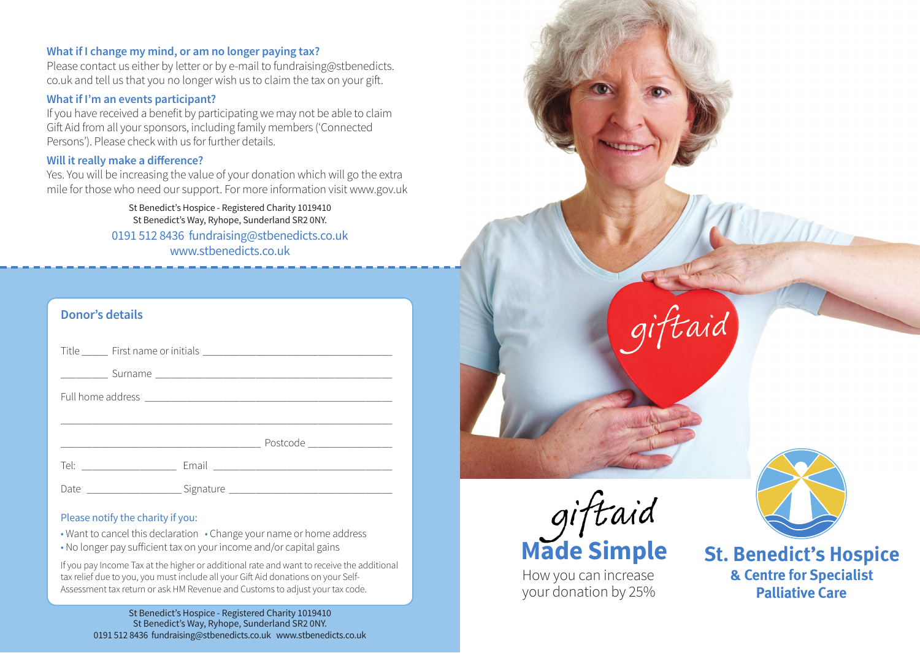# **What if I change my mind, or am no longer paying tax?**

Please contact us either by letter or by e-mail to fundraising@stbenedicts. co.uk and tell us that you no longer wish us to claim the tax on your gift.

#### **What if I'm an events participant?**

If you have received a benefit by participating we may not be able to claim Gift Aid from all your sponsors, including family members ('Connected Persons'). Please check with us for further details.

#### **Will it really make a difference?**

Yes. You will be increasing the value of your donation which will go the extra mile for those who need our support. For more information visit www.gov.uk

> St Benedict's Hospice - Registered Charity 1019410 St Benedict's Way, Ryhope, Sunderland SR2 0NY. 0191 512 8436 fundraising@stbenedicts.co.uk

www.stbenedicts.co.uk

| <b>Donor's details</b> |  |  |
|------------------------|--|--|
|                        |  |  |
|                        |  |  |
|                        |  |  |
|                        |  |  |
|                        |  |  |
|                        |  |  |
|                        |  |  |

#### Please notify the charity if you:

• Want to cancel this declaration • Change your name or home address

• No longer pay sufficient tax on your income and/or capital gains

If you pay Income Tax at the higher or additional rate and want to receive the additional tax relief due to you, you must include all your Gift Aid donations on your Self-Assessment tax return or ask HM Revenue and Customs to adjust your tax code.

St Benedict's Hospice - Registered Charity 1019410 St Benedict's Way, Ryhope, Sunderland SR2 0NY. 0191 512 8436 fundraising@stbenedicts.co.uk www.stbenedicts.co.uk



How you can increase your donation by 25%



**St. Benedict's Hospice & Centre for Specialist Palliative Care**